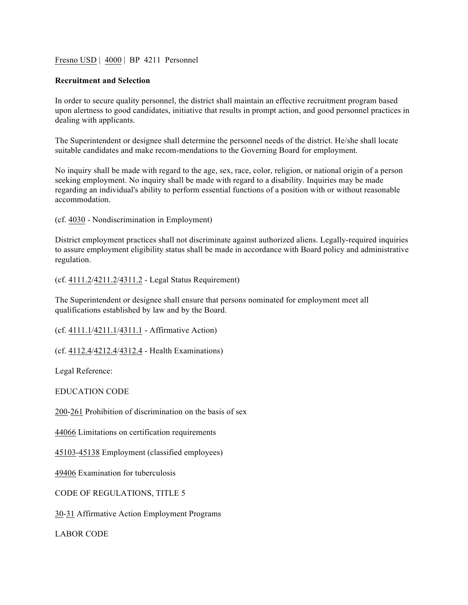## Fresno USD | 4000 | BP 4211 Personnel

## **Recruitment and Selection**

In order to secure quality personnel, the district shall maintain an effective recruitment program based upon alertness to good candidates, initiative that results in prompt action, and good personnel practices in dealing with applicants.

The Superintendent or designee shall determine the personnel needs of the district. He/she shall locate suitable candidates and make recom-mendations to the Governing Board for employment.

No inquiry shall be made with regard to the age, sex, race, color, religion, or national origin of a person seeking employment. No inquiry shall be made with regard to a disability. Inquiries may be made regarding an individual's ability to perform essential functions of a position with or without reasonable accommodation.

(cf. 4030 - Nondiscrimination in Employment)

District employment practices shall not discriminate against authorized aliens. Legally-required inquiries to assure employment eligibility status shall be made in accordance with Board policy and administrative regulation.

(cf. 4111.2/4211.2/4311.2 - Legal Status Requirement)

The Superintendent or designee shall ensure that persons nominated for employment meet all qualifications established by law and by the Board.

(cf. 4111.1/4211.1/4311.1 - Affirmative Action)

(cf. 4112.4/4212.4/4312.4 - Health Examinations)

Legal Reference:

EDUCATION CODE

200-261 Prohibition of discrimination on the basis of sex

44066 Limitations on certification requirements

45103-45138 Employment (classified employees)

49406 Examination for tuberculosis

CODE OF REGULATIONS, TITLE 5

30-31 Affirmative Action Employment Programs

LABOR CODE